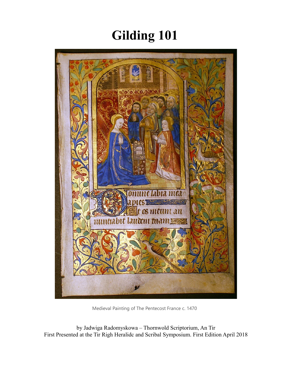# **Gilding 101**



Medieval Painting of The Pentecost France c. 1470

by Jadwiga Radomyskowa – Thornwold Scriptorium, An Tir First Presented at the Tir Righ Heralidc and Scribal Symposium. First Edition April 2018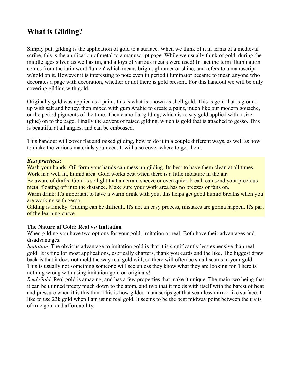# **What is Gilding?**

Simply put, gilding is the application of gold to a surface. When we think of it in terms of a medieval scribe, this is the application of metal to a manuscript page. While we usually think of gold, during the middle ages silver, as well as tin, and alloys of various metals were used! In fact the term illumination comes from the latin word 'lumen' which means bright, glimmer or shine, and refers to a manuscript w/gold on it. However it is interesting to note even in period illuminator became to mean anyone who decorates a page with decoration, whether or not there is gold present. For this handout we will be only covering gilding with gold.

Originally gold was applied as a paint, this is what is known as shell gold. This is gold that is ground up with salt and honey, then mixed with gum Arabic to create a paint, much like our modern gouache, or the period pigments of the time. Then came flat gilding, which is to say gold applied with a size (glue) on to the page. Finally the advent of raised gilding, which is gold that is attached to gesso. This is beautiful at all angles, and can be embossed.

This handout will cover flat and raised gilding, how to do it in a couple different ways, as well as how to make the various materials you need. It will also cover where to get them.

#### *Best practices:*

Wash your hands: Oil form your hands can mess up gilding. Its best to have them clean at all times. Work in a well lit, humid area. Gold works best when there is a little moisture in the air.

Be aware of drafts: Gold is so light that an errant sneeze or even quick breath can send your precious metal floating off into the distance. Make sure your work area has no breezes or fans on.

Warm drink: It's important to have a warm drink with you, this helps get good humid breaths when you are working with gesso.

Gilding is finicky: Gilding can be difficult. It's not an easy process, mistakes are gonna happen. It's part of the learning curve.

#### **The Nature of Gold: Real vs/ Imitation**

When gilding you have two options for your gold, imitation or real. Both have their advantages and disadvantages.

*Imitation*: The obvious advantage to imitation gold is that it is significantly less expensive than real gold. It is fine for most applications, esprically charters, thank you cards and the like. The biggest draw back is that it does not meld the way real gold will, so there will often be small seams in your gold. This is usually not something someone will see unless they know what they are looking for. There is nothing wrong with using imitation gold on originals!

*Real Gold*: Real gold is amazing, and has a few properties that make it unique. The main two being that it can be thinned preety much down to the atom, and two that it melds with itself with the barest of heat and pressure when it is this thin. This is how gilded manuscrips get that seamless mirror-like surface. I like to use 23k gold when I am using real gold. It seems to be the best midway point between the traits of true gold and affordability.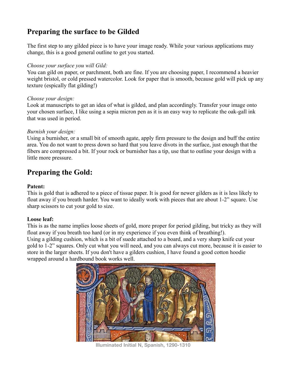# **Preparing the surface to be Gilded**

The first step to any gilded piece is to have your image ready. While your various applications may change, this is a good general outline to get you started.

# *Choose your surface you will Gild:*

You can gild on paper, or parchment, both are fine. If you are choosing paper, I recommend a heavier weight bristol, or cold pressed watercolor. Look for paper that is smooth, because gold will pick up any texture (espically flat gilding!)

# *Choose your design:*

Look at manuscripts to get an idea of what is gilded, and plan accordingly. Transfer your image onto your chosen surface, I like using a sepia micron pen as it is an easy way to replicate the oak-gall ink that was used in period.

# *Burnish your design:*

Using a burnisher, or a small bit of smooth agate, apply firm pressure to the design and buff the entire area. You do not want to press down so hard that you leave divots in the surface, just enough that the fibers are compressed a bit. If your rock or burnisher has a tip, use that to outline your design with a little more pressure.

# **Preparing the Gold:**

# **Patent:**

This is gold that is adhered to a piece of tissue paper. It is good for newer gilders as it is less likely to float away if you breath harder. You want to ideally work with pieces that are about 1-2" square. Use sharp scissors to cut your gold to size.

# **Loose leaf:**

This is as the name implies loose sheets of gold, more proper for period gilding, but tricky as they will float away if you breath too hard (or in my experience if you even think of breathing!). Using a gilding cushion, which is a bit of suede attached to a board, and a very sharp knife cut your gold to 1-2" squares. Only cut what you will need, and you can always cut more, because it is easier to store in the larger sheets. If you don't have a gilders cushion, I have found a good cotton hoodie wrapped around a hardbound book works well.



**Illuminated Initial N, Spanish, 1290-1310**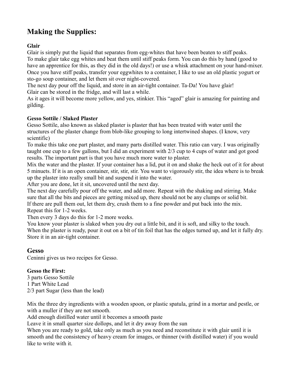# **Making the Supplies:**

**Glair** 

Glair is simply put the liquid that separates from egg-whites that have been beaten to stiff peaks. To make glair take egg whites and beat them until stiff peaks form. You can do this by hand (good to have an apprentice for this, as they did in the old days!) or use a whisk attachment on your hand-mixer. Once you have stiff peaks, transfer your eggwhites to a container, I like to use an old plastic yogurt or sto-go soup container, and let them sit over night-covered.

The next day pour off the liquid, and store in an air-tight container. Ta-Da! You have glair! Glair can be stored in the fridge, and will last a while.

As it ages it will become more yellow, and yes, stinkier. This "aged" glair is amazing for painting and gilding.

# **Gesso Sottile / Slaked Plaster**

Gesso Sottile, also known as slaked plaster is plaster that has been treated with water until the structures of the plaster change from blob-like grouping to long intertwined shapes. (I know, very scientific)

To make this take one part plaster, and many parts distilled water. This ratio can vary. I was originally taught one cup to a few gallons, but I did an experiment with 2/3 cup to 4 cups of water and got good results. The important part is that you have much more water to plaster.

Mix the water and the plaster. If your container has a lid, put it on and shake the heck out of it for about 5 minuets. If it is an open container, stir, stir, stir. You want to vigorously stir, the idea where is to break up the plaster into really small bit and suspend it into the water.

After you are done, let it sit, uncovered until the next day.

The next day carefully pour off the water, and add more. Repeat with the shaking and stirring. Make sure that all the bits and pieces are getting mixed up, there should not be any clumps or solid bit. If there are pull them out, let them dry, crush them to a fine powder and put back into the mix. Repeat this for 1-2 weeks.

Then every 3 days do this for 1-2 more weeks.

You know your plaster is slaked when you dry out a little bit, and it is soft, and silky to the touch. When the plaster is ready, pour it out on a bit of tin foil that has the edges turned up, and let it fully dry. Store it in an air-tight container.

# **Gesso**

Ceninni gives us two recipes for Gesso.

# **Gesso the First:**

3 parts Gesso Sottile 1 Part White Lead 2/3 part Sugar (less than the lead)

Mix the three dry ingredients with a wooden spoon, or plastic spatula, grind in a mortar and pestle, or with a muller if they are not smooth.

Add enough distilled water until it becomes a smooth paste

Leave it in small quarter size dollops, and let it dry away from the sun

When you are ready to gold, take only as much as you need and reconstitute it with glair until it is smooth and the consistency of heavy cream for images, or thinner (with distilled water) if you would like to write with it.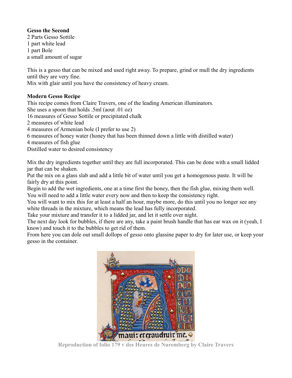# **Gesso the Second**

2 Parts Gesso Sottile 1 part white lead 1 part Bole a small amount of sugar

This is a gesso that can be mixed and used right away. To prepare, grind or mull the dry ingredients until they are very fine.

Mix with glair until you have the consistency of heavy cream.

# **Modern Gesso Recipe**

This recipe comes from Claire Travers, one of the leading American illuminators. She uses a spoon that holds .5ml (aout .01 oz) 16 measures of Gesso Sottile or precipitated chalk 2 measures of white lead 4 measures of Armenian bole (I prefer to use 2) 6 measures of honey water (honey that has been thinned down a little with distilled water) 4 measures of fish glue Distilled water to desired consistency

Mix the dry ingredients together until they are full incorporated. This can be done with a small lidded jar that can be shaken.

Put the mix on a glass slab and add a little bit of water until you get a homogenous paste. It will be fairly dry at this point.

Begin to add the wet ingredients, one at a time first the honey, then the fish glue, mixing them well. You will need to add a little water every now and then to keep the consistency right.

You will want to mix this for at least a half an hour, maybe more, do this until you no longer see any white threads in the mixture, which means the lead has fully incorporated.

Take your mixture and transfer it to a lidded jar, and let it settle over night.

The next day look for bubbles, if there are any, take a paint brush handle that has ear wax on it (yeah, I know) and touch it to the bubbles to get rid of them.

From here you can dole out small dollops of gesso onto glassine paper to dry for later use, or keep your gesso in the container.



**Reproduction of folio 179 v des Heures de Nuremberg by Claire Travers**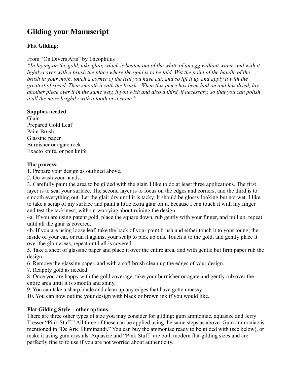# **Gilding your Manuscript**

# **Flat Gilding:**

# From "On Divers Arts" by Theophilus

*"In laying on the gold, take glair, which is beaten out of the white of an egg without water, and with it*  lightly cover with a brush the place where the gold is to be laid. Wet the point of the handle of the *brush in your moth, touch a corner of the leaf you have cut, and so lift it up and apply it with the greatest of speed. Then smooth it with the brush...When this piece has been laid on and has dried, lay another piece over it in the same way, if you wish and also a third, if necessary, so that you can polish it all the more brightly with a tooth or a stone."*

#### **Supplies needed**

Glair Prepared Gold Leaf Paint Brush Glassine paper Burnisher or agate rock Exacto knife, or pen knife

# **The process:**

1. Prepare your design as outlined above.

2. Go wash your hands.

3. Carefully paint the area to be gilded with the glair. I like to do at least three applications. The first layer is to seal your surface. The second layer is to focus on the edges and corners, and the third is to smooth everything out. Let the glair dry until it is tacky. It should be glossy looking but not wet. I like to take a scrap of my surface and paint a little extra glair on it, because I can touch it with my finger and test the tackiness, without worrying about ruining the design.

4a. If you are using patent gold, place the square down, rub gently with your finger, and pull up, repeat until all the glair is covered.

4b. If you are using loose leaf, take the back of your paint brush and either touch it to your toung, the inside of your ear, or run it against your scalp to pick up oils. Touch it to the gold, and gently place it over the glair areas, repeat until all is covered.

5. Take a sheet of glassine paper and place it over the entire area, and with gentle but firm paper rub the design.

6. Remove the glassine paper, and with a soft brush clean up the edges of your design.

7. Reapply gold as needed.

8. Once you are happy with the gold coverage, take your burnisher or agate and gently rub over the entire area until it is smooth and shiny.

9. You can take a sharp blade and clean up any edges that have gotten messy

10. You can now outline your design with black or brown ink if you would like.

# **Flat Gilding Style – other options**

There are three other types of size you may consider for gilding: gum ammoniac, aquasize and Jerry Tresser "Pink Stuff." All three of these can be applied using the same steps as above. Gum ammoniac is mentioned in "De Arte Illuminandi." You can buy the ammoniac ready to be gilded with (see below), or make it using gum crystals. Aquasize and "Pink Stuff" are both modern flat-gilding sizes and are perfectly fine to to use if you are not worried about authenticity.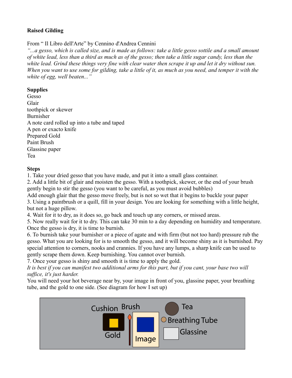# **Raised Gilding**

From " Il Libro dell'Arte" by Cennino d'Andrea Cennini

*"...a gesso, which is called size, and is made as follows: take a little gesso sottile and a small amount of white lead, less than a third as much as of the gesso; then take a little sugar candy, less than the white lead. Grind these things very fine with clear water then scrape it up and let it dry without sun. When you want to use some for gilding, take a little of it, as much as you need, and temper it with the white of egg, well beaten..."*

### **Supplies**

Gesso Glair toothpick or skewer Burnisher A note card rolled up into a tube and taped A pen or exacto knife Prepared Gold Paint Brush Glassine paper Tea

#### **Steps**

1. Take your dried gesso that you have made, and put it into a small glass container.

2. Add a little bit of glair and moisten the gesso. With a toothpick, skewer, or the end of your brush gently begin to stir the gesso (you want to be careful, as you must avoid bubbles)

Add enough glair that the gesso move freely, but is not so wet that it begins to buckle your paper 3. Using a paintbrush or a quill, fill in your design. You are looking for something with a little height,

but not a huge pillow.

4. Wait for it to dry, as it does so, go back and touch up any corners, or missed areas.

5. Now really wait for it to dry. This can take 30 min to a day depending on humidity and temperature. Once the gesso is dry, it is time to burnish.

6. To burnish take your burnisher or a piece of agate and with firm (but not too hard) pressure rub the gesso. What you are looking for is to smooth the gesso, and it will become shiny as it is burnished. Pay special attention to corners, nooks and crannies. If you have any lumps, a sharp knife can be used to gently scrape them down. Keep burnishing. You cannot over burnish.

7. Once your gesso is shiny and smooth it is time to apply the gold.

*It is best if you can manifest two additional arms for this part, but if you cant, your base two will suffice, it's just harder.* 

You will need your hot beverage near by, your image in front of you, glassine paper, your breathing tube, and the gold to one side. (See diagram for how I set up)

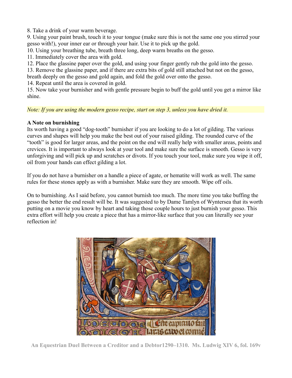8. Take a drink of your warm beverage.

9. Using your paint brush, touch it to your tongue (make sure this is not the same one you stirred your gesso with!), your inner ear or through your hair. Use it to pick up the gold.

10. Using your breathing tube, breath three long, deep warm breaths on the gesso.

11. Immediately cover the area with gold.

12. Place the glassine paper over the gold, and using your finger gently rub the gold into the gesso.

13. Remove the glassine paper, and if there are extra bits of gold still attached but not on the gesso,

breath deeply on the gesso and gold again, and fold the gold over onto the gesso.

14. Repeat until the area is covered in gold.

15. Now take your burnisher and with gentle pressure begin to buff the gold until you get a mirror like shine.

*Note: If you are using the modern gesso recipe, start on step 3, unless you have dried it.* 

#### **A Note on burnishing**

Its worth having a good "dog-tooth" burnisher if you are looking to do a lot of gilding. The various curves and shapes will help you make the best out of your raised gilding. The rounded curve of the "tooth" is good for larger areas, and the point on the end will really help with smaller areas, points and crevices. It is important to always look at your tool and make sure the surface is smooth. Gesso is very unforgiving and will pick up and scratches or divots. If you touch your tool, make sure you wipe it off, oil from your hands can effect gilding a lot.

If you do not have a burnisher on a handle a piece of agate, or hematite will work as well. The same rules for these stones apply as with a burnisher. Make sure they are smooth. Wipe off oils.

On to burnishing. As I said before, you cannot burnish too much. The more time you take buffing the gesso the better the end result will be. It was suggested to by Dame Tamlyn of Wyntersea that its worth putting on a movie you know by heart and taking those couple hours to just burnish your gesso. This extra effort will help you create a piece that has a mirror-like surface that you can literally see your reflection in!



**An Equestrian Duel Between a Creditor and a Debtor1290–1310. Ms. Ludwig XIV 6, fol. 169v**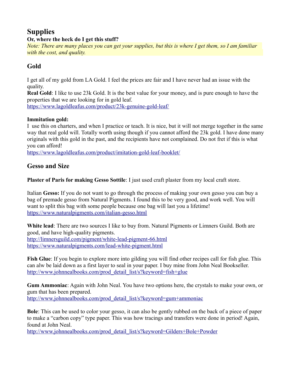# **Supplies Or, where the heck do I get this stuff?**

*Note: There are many places you can get your supplies, but this is where I get them, so I am familiar with the cost, and quality.* 

# **Gold**

I get all of my gold from LA Gold. I feel the prices are fair and I have never had an issue with the quality.

**Real Gold**: I like to use 23k Gold. It is the best value for your money, and is pure enough to have the properties that we are looking for in gold leaf.

<https://www.lagoldleafus.com/product/23k-genuine-gold-leaf/>

# **Immitation gold:**

I use this on charters, and when I practice or teach. It is nice, but it will not merge together in the same way that real gold will. Totally worth using though if you cannot afford the 23k gold. I have done many originals with this gold in the past, and the recipients have not complained. Do not fret if this is what you can afford!

<https://www.lagoldleafus.com/product/imitation-gold-leaf-booklet/>

# **Gesso and Size**

**Plaster of Paris for making Gesso Sottile**: I just used craft plaster from my local craft store.

Italian **Gesso:** If you do not want to go through the process of making your own gesso you can buy a bag of premade gesso from Natural Pigments. I found this to be very good, and work well. You will want to split this bag with some people because one bag will last you a lifetime! <https://www.naturalpigments.com/italian-gesso.html>

**White lead**: There are two sources I like to buy from. Natural Pigments or Limners Guild. Both are good, and have high-quality pigments. <http://limnersguild.com/pigment/white-lead-pigment-66.html> <https://www.naturalpigments.com/lead-white-pigment.html>

**Fish Glue**: If you begin to explore more into gilding you will find other recipes call for fish glue. This can alw be laid down as a first layer to seal in your paper. I buy mine from John Neal Bookseller. [http://www.johnnealbooks.com/prod\\_detail\\_list/s?keyword=fish+glue](http://www.johnnealbooks.com/prod_detail_list/s?keyword=fish+glue)

**Gum Ammoniac**: Again with John Neal. You have two options here, the crystals to make your own, or gum that has been prepared.

[http://www.johnnealbooks.com/prod\\_detail\\_list/s?keyword=gum+ammoniac](http://www.johnnealbooks.com/prod_detail_list/s?keyword=gum+ammoniac)

**Bole**: This can be used to color your gesso, it can also be gently rubbed on the back of a piece of paper to make a "carbon copy" type paper. This was how tracings and transfers were done in period! Again, found at John Neal.

[http://www.johnnealbooks.com/prod\\_detail\\_list/s?keyword=Gilders+Bole+Powder](http://www.johnnealbooks.com/prod_detail_list/s?keyword=Gilders+Bole+Powder)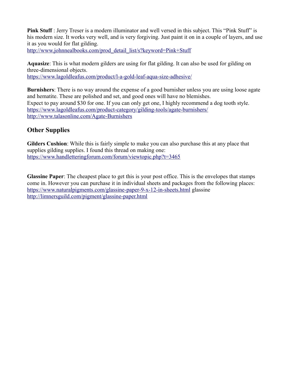**Pink Stuff** : Jerry Treser is a modern illuminator and well versed in this subject. This "Pink Stuff" is his modern size. It works very well, and is very forgiving. Just paint it on in a couple of layers, and use it as you would for flat gilding.

[http://www.johnnealbooks.com/prod\\_detail\\_list/s?keyword=Pink+Stuff](http://www.johnnealbooks.com/prod_detail_list/s?keyword=Pink+Stuff)

**Aquasize**: This is what modern gilders are using for flat gilding. It can also be used for gilding on three-dimensional objects. <https://www.lagoldleafus.com/product/l-a-gold-leaf-aqua-size-adhesive/>

**Burnishers**: There is no way around the expense of a good burnisher unless you are using loose agate and hematite. These are polished and set, and good ones will have no blemishes. Expect to pay around \$30 for one. If you can only get one, I highly recommend a dog tooth style. <https://www.lagoldleafus.com/product-category/gilding-tools/agate-burnishers/> <http://www.talasonline.com/Agate-Burnishers>

# **Other Supplies**

**Gilders Cushion**: While this is fairly simple to make you can also purchase this at any place that supplies gilding supplies. I found this thread on making one: <https://www.handletteringforum.com/forum/viewtopic.php?t=3465>

**Glassine Paper**: The cheapest place to get this is your post office. This is the envelopes that stamps come in. However you can purchase it in individual sheets and packages from the following places: <https://www.naturalpigments.com/glassine-paper-9-x-12-in-sheets.html>glassine <http://limnersguild.com/pigment/glassine-paper.html>